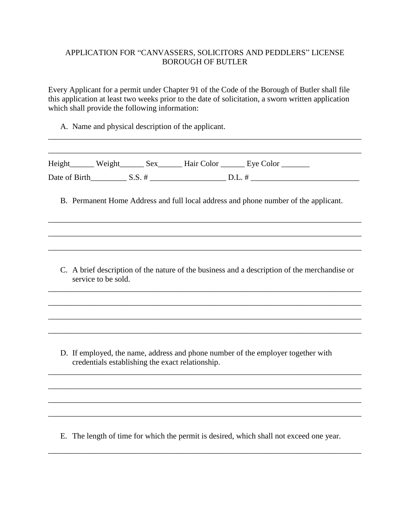## APPLICATION FOR "CANVASSERS, SOLICITORS AND PEDDLERS" LICENSE BOROUGH OF BUTLER

Every Applicant for a permit under Chapter 91 of the Code of the Borough of Butler shall file this application at least two weeks prior to the date of solicitation, a sworn written application which shall provide the following information:

\_\_\_\_\_\_\_\_\_\_\_\_\_\_\_\_\_\_\_\_\_\_\_\_\_\_\_\_\_\_\_\_\_\_\_\_\_\_\_\_\_\_\_\_\_\_\_\_\_\_\_\_\_\_\_\_\_\_\_\_\_\_\_\_\_\_\_\_\_\_\_\_\_\_\_\_\_\_

A. Name and physical description of the applicant.

|                     |                                                  | B. Permanent Home Address and full local address and phone number of the applicant.          |
|---------------------|--------------------------------------------------|----------------------------------------------------------------------------------------------|
|                     |                                                  |                                                                                              |
| service to be sold. |                                                  | C. A brief description of the nature of the business and a description of the merchandise or |
|                     |                                                  |                                                                                              |
|                     |                                                  |                                                                                              |
|                     | credentials establishing the exact relationship. | D. If employed, the name, address and phone number of the employer together with             |
|                     |                                                  |                                                                                              |
|                     |                                                  |                                                                                              |

E. The length of time for which the permit is desired, which shall not exceed one year.

\_\_\_\_\_\_\_\_\_\_\_\_\_\_\_\_\_\_\_\_\_\_\_\_\_\_\_\_\_\_\_\_\_\_\_\_\_\_\_\_\_\_\_\_\_\_\_\_\_\_\_\_\_\_\_\_\_\_\_\_\_\_\_\_\_\_\_\_\_\_\_\_\_\_\_\_\_\_